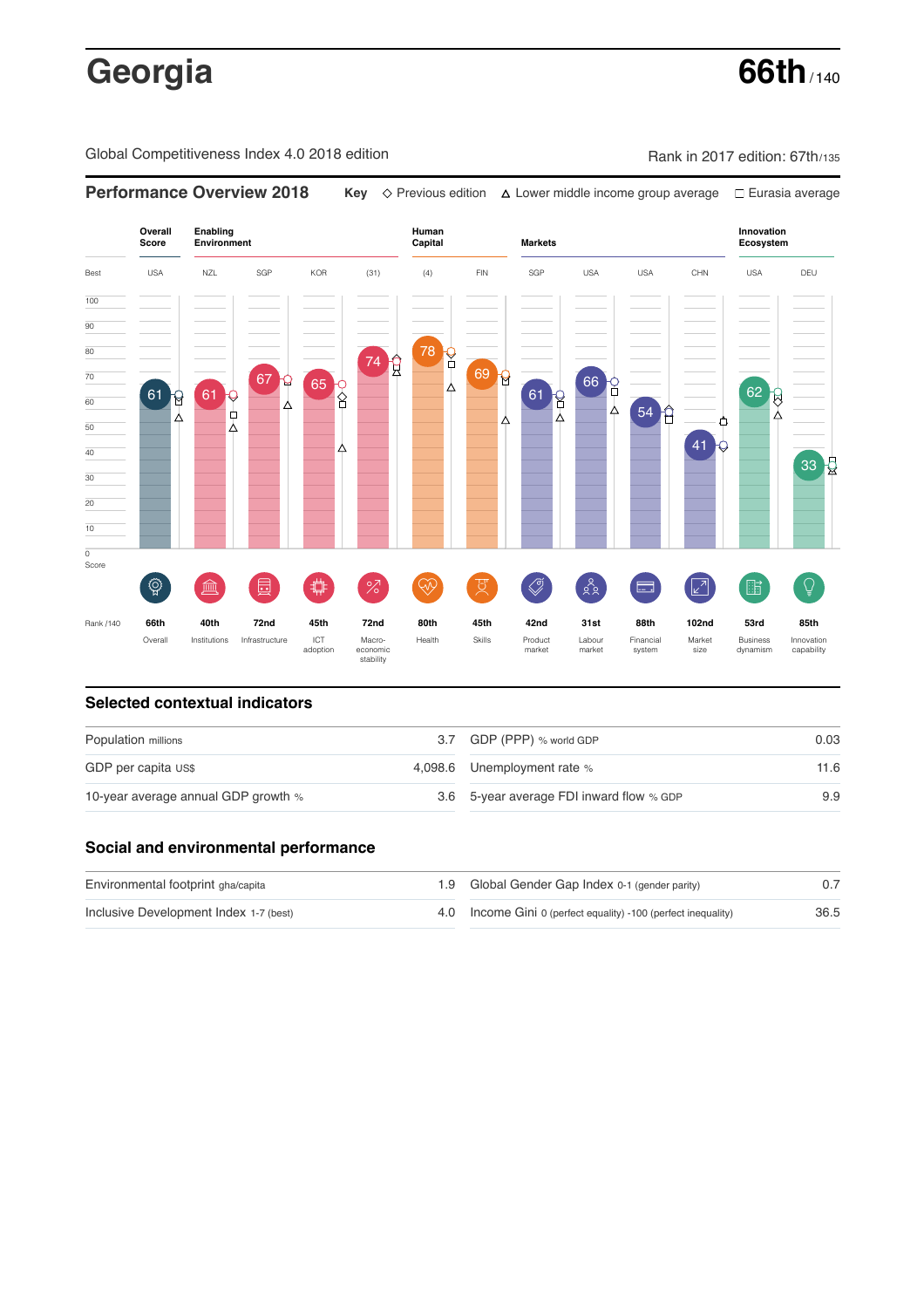# **Georgia 66th** / 140

Global Competitiveness Index 4.0 2018 edition Company Rank in 2017 edition: 67th/135



### **Selected contextual indicators**

| Population millions                 |  | 3.7 GDP (PPP) % world GDP                | 0.03 |  |
|-------------------------------------|--|------------------------------------------|------|--|
| GDP per capita US\$                 |  | 4,098.6 Unemployment rate %              | 11.6 |  |
| 10-year average annual GDP growth % |  | 3.6 5-year average FDI inward flow % GDP | 9.9  |  |

### **Social and environmental performance**

| Environmental footprint gha/capita     | 1.9 Global Gender Gap Index 0-1 (gender parity)                |      |
|----------------------------------------|----------------------------------------------------------------|------|
| Inclusive Development Index 1-7 (best) | 4.0 Income Gini 0 (perfect equality) -100 (perfect inequality) | 36.5 |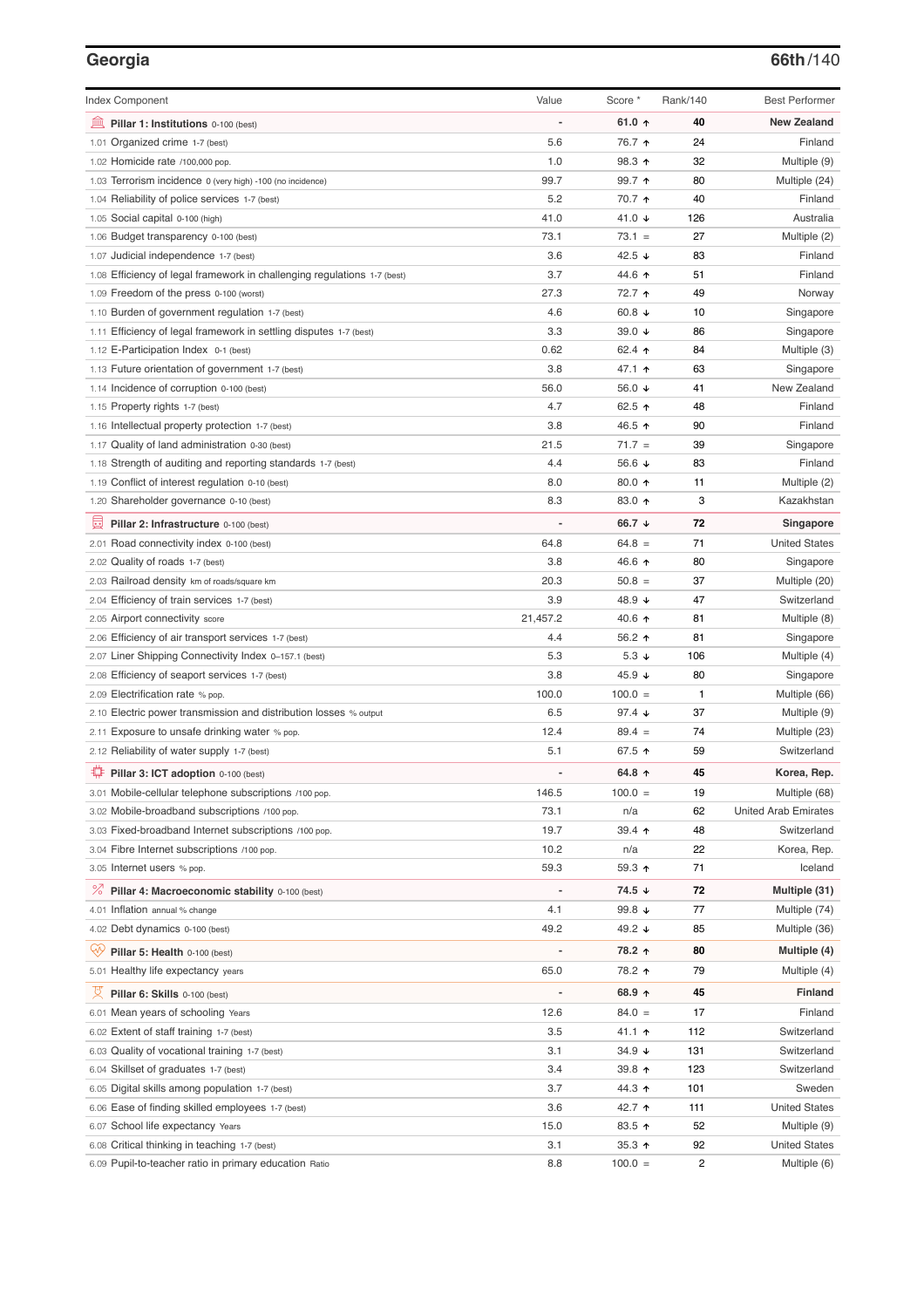# **Georgia 66th**/140

| <b>Index Component</b>                                                   | Value          | Score *          | Rank/140       | <b>Best Performer</b>       |
|--------------------------------------------------------------------------|----------------|------------------|----------------|-----------------------------|
| 寙<br>Pillar 1: Institutions 0-100 (best)                                 |                | 61.0 ↑           | 40             | <b>New Zealand</b>          |
| 1.01 Organized crime 1-7 (best)                                          | 5.6            | 76.7 ተ           | 24             | Finland                     |
| 1.02 Homicide rate /100,000 pop.                                         | 1.0            | 98.3 ↑           | 32             | Multiple (9)                |
| 1.03 Terrorism incidence 0 (very high) -100 (no incidence)               | 99.7           | 99.7 ተ           | 80             | Multiple (24)               |
| 1.04 Reliability of police services 1-7 (best)                           | 5.2            | 70.7 ተ           | 40             | Finland                     |
| 1.05 Social capital 0-100 (high)                                         | 41.0           | 41.0 ↓           | 126            | Australia                   |
| 1.06 Budget transparency 0-100 (best)                                    | 73.1           | $73.1 =$         | 27             | Multiple (2)                |
| 1.07 Judicial independence 1-7 (best)                                    | 3.6            | 42.5 ↓           | 83             | Finland                     |
| 1.08 Efficiency of legal framework in challenging regulations 1-7 (best) | 3.7            | 44.6 ↑           | 51             | Finland                     |
| 1.09 Freedom of the press 0-100 (worst)                                  | 27.3           | 72.7 ተ           | 49             | Norway                      |
| 1.10 Burden of government regulation 1-7 (best)                          | 4.6            | 60.8 $\sqrt{ }$  | 10             | Singapore                   |
| 1.11 Efficiency of legal framework in settling disputes 1-7 (best)       | 3.3            | 39.0 $\sqrt{ }$  | 86             | Singapore                   |
| 1.12 E-Participation Index 0-1 (best)                                    | 0.62           | 62.4 ↑           | 84             | Multiple (3)                |
| 1.13 Future orientation of government 1-7 (best)                         | 3.8            | 47.1 ተ           | 63             | Singapore                   |
| 1.14 Incidence of corruption 0-100 (best)                                | 56.0           | 56.0 ↓           | 41             | New Zealand                 |
| 1.15 Property rights 1-7 (best)                                          | 4.7            | 62.5 ↑           | 48             | Finland                     |
| 1.16 Intellectual property protection 1-7 (best)                         | 3.8            | 46.5 ↑           | 90             | Finland                     |
| 1.17 Quality of land administration 0-30 (best)                          | 21.5           | $71.7 =$         | 39             | Singapore                   |
| 1.18 Strength of auditing and reporting standards 1-7 (best)             | 4.4            | 56.6 ↓           | 83             | Finland                     |
| 1.19 Conflict of interest regulation 0-10 (best)                         | 8.0            | 80.0 ↑           | 11             | Multiple (2)                |
| 1.20 Shareholder governance 0-10 (best)                                  | 8.3            | 83.0 个           | 3              | Kazakhstan                  |
| 員<br>Pillar 2: Infrastructure 0-100 (best)                               |                | 66.7 ↓           | 72             | Singapore                   |
| 2.01 Road connectivity index 0-100 (best)                                | 64.8           | $64.8 =$         | 71             | <b>United States</b>        |
| 2.02 Quality of roads 1-7 (best)                                         | 3.8            | 46.6 ↑           | 80             | Singapore                   |
| 2.03 Railroad density km of roads/square km                              | 20.3           | $50.8 =$         | 37             | Multiple (20)               |
| 2.04 Efficiency of train services 1-7 (best)                             | 3.9            | 48.9 ↓           | 47             | Switzerland                 |
| 2.05 Airport connectivity score                                          | 21,457.2       | 40.6 ↑           | 81             | Multiple (8)                |
| 2.06 Efficiency of air transport services 1-7 (best)                     | 4.4            | 56.2 ↑           | 81             | Singapore                   |
| 2.07 Liner Shipping Connectivity Index 0-157.1 (best)                    | 5.3            | 5.3 $\downarrow$ | 106            | Multiple (4)                |
| 2.08 Efficiency of seaport services 1-7 (best)                           | 3.8            | 45.9 ↓           | 80             | Singapore                   |
| 2.09 Electrification rate % pop.                                         | 100.0          | $100.0 =$        | 1              | Multiple (66)               |
| 2.10 Electric power transmission and distribution losses % output        | 6.5            | 97.4 ↓           | 37             | Multiple (9)                |
| 2.11 Exposure to unsafe drinking water % pop.                            | 12.4           | $89.4 =$         | 74             | Multiple (23)               |
| 2.12 Reliability of water supply 1-7 (best)                              | 5.1            | 67.5 ↑           | 59             | Switzerland                 |
| O<br>Pillar 3: ICT adoption 0-100 (best)                                 |                | 64.8 ↑           | 45             | Korea, Rep.                 |
| 3.01 Mobile-cellular telephone subscriptions /100 pop.                   | 146.5          | $100.0 =$        | 19             | Multiple (68)               |
| 3.02 Mobile-broadband subscriptions /100 pop.                            | 73.1           | n/a              | 62             | <b>United Arab Emirates</b> |
| 3.03 Fixed-broadband Internet subscriptions /100 pop.                    | 19.7           | 39.4 ተ           | 48             | Switzerland                 |
| 3.04 Fibre Internet subscriptions /100 pop.                              | 10.2           | n/a              | 22             | Korea, Rep.                 |
| 3.05 Internet users % pop.                                               | 59.3           | 59.3 ↑           | 71             | Iceland                     |
| ℅<br>Pillar 4: Macroeconomic stability 0-100 (best)                      | $\overline{a}$ | 74.5 ↓           | 72             | Multiple (31)               |
| 4.01 Inflation annual % change                                           | 4.1            | 99.8 $\sqrt{ }$  | 77             | Multiple (74)               |
| 4.02 Debt dynamics 0-100 (best)                                          | 49.2           | 49.2 ↓           | 85             | Multiple (36)               |
| Qv<br>Pillar 5: Health 0-100 (best)                                      |                | 78.2 ↑           | 80             | Multiple (4)                |
| 5.01 Healthy life expectancy years                                       | 65.0           | 78.2 ↑           | 79             | Multiple (4)                |
| 섯<br>Pillar 6: Skills 0-100 (best)                                       | $\overline{a}$ | 68.9 ↑           | 45             | Finland                     |
| 6.01 Mean years of schooling Years                                       | 12.6           | $84.0 =$         | 17             | Finland                     |
| 6.02 Extent of staff training 1-7 (best)                                 | 3.5            | 41.1 ተ           | 112            | Switzerland                 |
| 6.03 Quality of vocational training 1-7 (best)                           | 3.1            | 34.9 ↓           | 131            | Switzerland                 |
| 6.04 Skillset of graduates 1-7 (best)                                    | 3.4            | 39.8 个           | 123            | Switzerland                 |
| 6.05 Digital skills among population 1-7 (best)                          | 3.7            | 44.3 ↑           | 101            | Sweden                      |
| 6.06 Ease of finding skilled employees 1-7 (best)                        | 3.6            | 42.7 ተ           | 111            | <b>United States</b>        |
| 6.07 School life expectancy Years                                        | 15.0           | 83.5 ↑           | 52             | Multiple (9)                |
| 6.08 Critical thinking in teaching 1-7 (best)                            | 3.1            | 35.3 ↑           | 92             | <b>United States</b>        |
| 6.09 Pupil-to-teacher ratio in primary education Ratio                   | 8.8            | $100.0 =$        | $\overline{c}$ | Multiple (6)                |